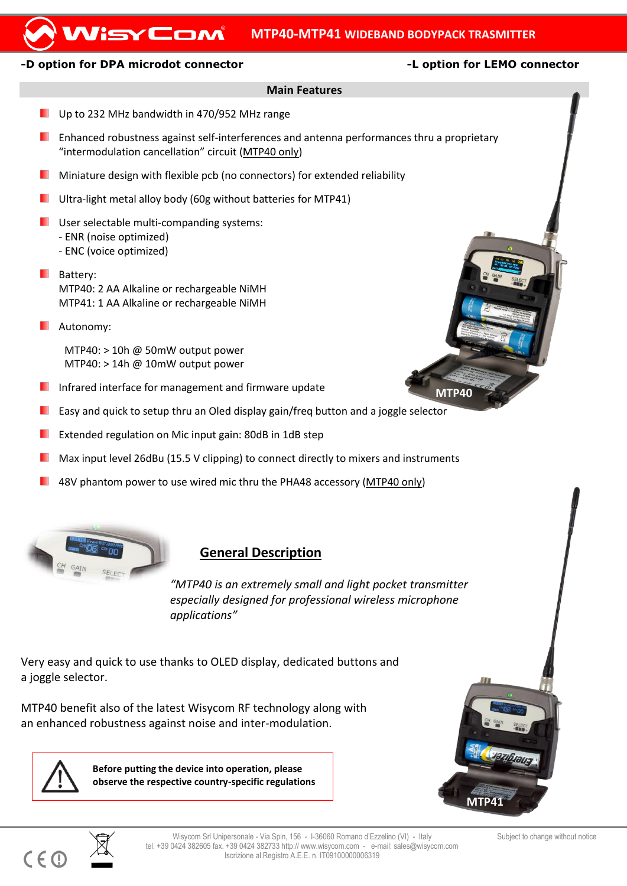## **MTP40-MTP41 WIDEBAND BODYPACK TRASMITTER**

### **-D option for DPA microdot connector -L option for LEMO connector**

WisyCom

**MTP40**

## **Main Features**

- Up to 232 MHz bandwidth in 470/952 MHz range
- Enhanced robustness against self-interferences and antenna performances thru a proprietary "intermodulation cancellation" circuit (MTP40 only)
- **Miniature design with flexible pcb (no connectors) for extended reliability**
- **Ultra-light metal alloy body (60g without batteries for MTP41)**
- **USER SEECTABLE MULTER MILTER SYSTEMS:** - ENR (noise optimized)
	- ENC (voice optimized)
- **Battery:** MTP40: 2 AA Alkaline or rechargeable NiMH MTP41: 1 AA Alkaline or rechargeable NiMH
- **L** Autonomy:

MTP40: > 10h @ 50mW output power  $MTP40:$  > 14h @ 10mW output power

- **Infrared interface for management and firmware update**
- ٠ Easy and quick to setup thru an Oled display gain/freq button and a joggle selector
- Extended regulation on Mic input gain: 80dB in 1dB step
- Max input level 26dBu (15.5 V clipping) to connect directly to mixers and instruments
- 48V phantom power to use wired mic thru the PHA48 accessory (MTP40 only)



# **General Description**

*"MTP40 is an extremely small and light pocket transmitter especially designed for professional wireless microphone applications"*

Very easy and quick to use thanks to OLED display, dedicated buttons and a joggle selector.

MTP40 benefit also of the latest Wisycom RF technology along with an enhanced robustness against noise and inter-modulation.



 $C \in \mathbb{C}$ 

**Before putting the device into operation, please observe the respective country-specific regulations**